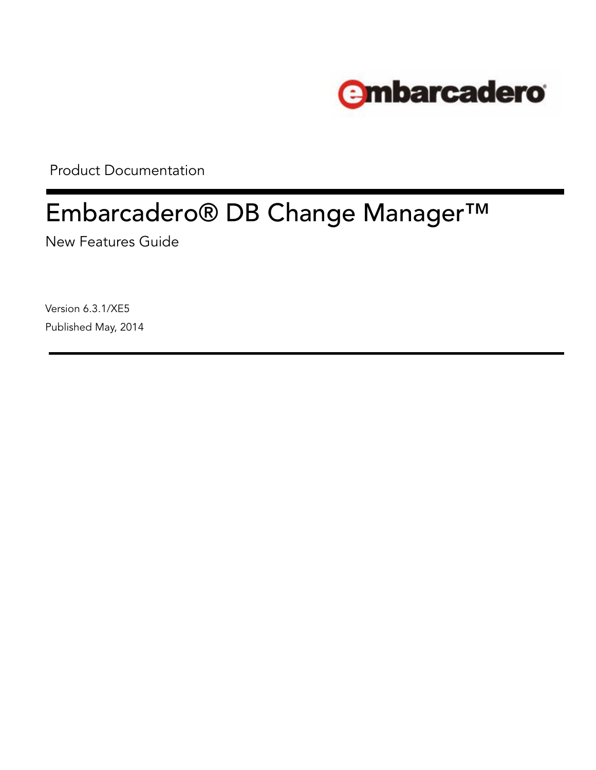

Product Documentation

# Embarcadero® DB Change Manager™

New Features Guide

Version 6.3.1/XE5 Published May, 2014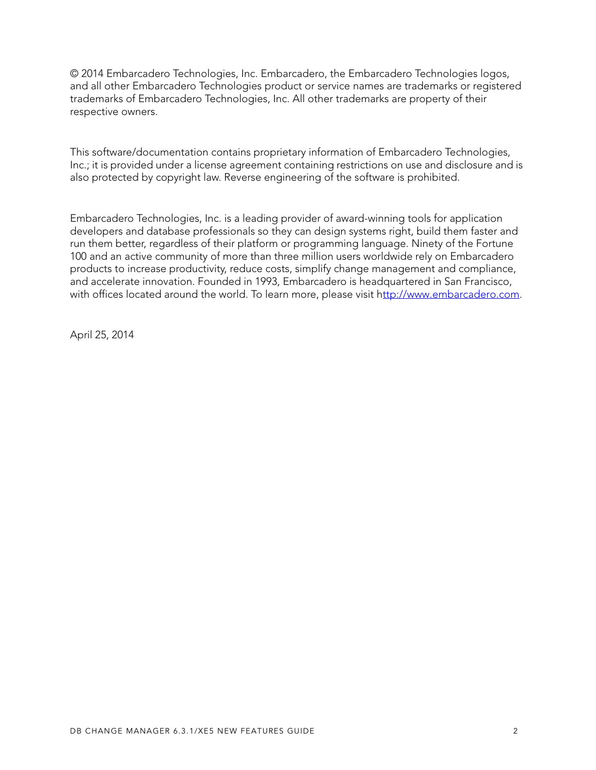© 2014 Embarcadero Technologies, Inc. Embarcadero, the Embarcadero Technologies logos, and all other Embarcadero Technologies product or service names are trademarks or registered trademarks of Embarcadero Technologies, Inc. All other trademarks are property of their respective owners.

This software/documentation contains proprietary information of Embarcadero Technologies, Inc.; it is provided under a license agreement containing restrictions on use and disclosure and is also protected by copyright law. Reverse engineering of the software is prohibited.

Embarcadero Technologies, Inc. is a leading provider of award-winning tools for application developers and database professionals so they can design systems right, build them faster and run them better, regardless of their platform or programming language. Ninety of the Fortune 100 and an active community of more than three million users worldwide rely on Embarcadero products to increase productivity, reduce costs, simplify change management and compliance, and accelerate innovation. Founded in 1993, Embarcadero is headquartered in San Francisco, with offices located around the world. To learn more, please visit [http://www.embarcadero.com.](http://www.embarcadero.com)

April 25, 2014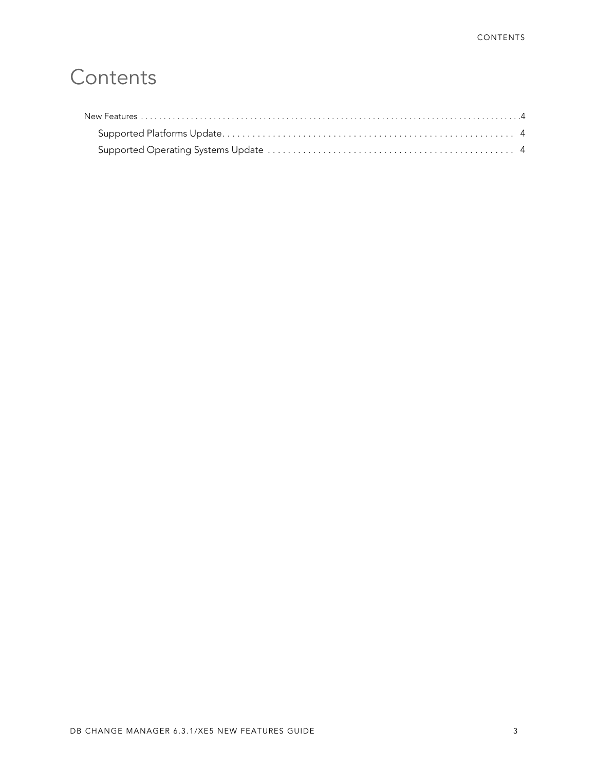## **Contents**